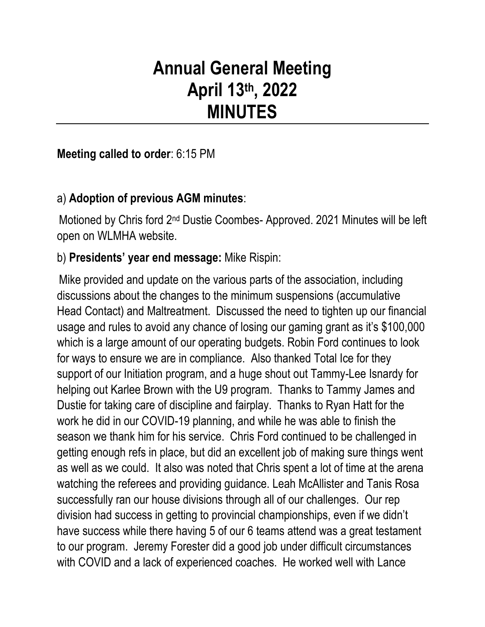# **Annual General Meeting April 13th, 2022 MINUTES**

# **Meeting called to order**: 6:15 PM

# a) **Adoption of previous AGM minutes**:

Motioned by Chris ford 2nd Dustie Coombes- Approved. 2021 Minutes will be left open on WLMHA website.

# b) **Presidents' year end message:** Mike Rispin:

Mike provided and update on the various parts of the association, including discussions about the changes to the minimum suspensions (accumulative Head Contact) and Maltreatment. Discussed the need to tighten up our financial usage and rules to avoid any chance of losing our gaming grant as it's \$100,000 which is a large amount of our operating budgets. Robin Ford continues to look for ways to ensure we are in compliance. Also thanked Total Ice for they support of our Initiation program, and a huge shout out Tammy-Lee Isnardy for helping out Karlee Brown with the U9 program. Thanks to Tammy James and Dustie for taking care of discipline and fairplay. Thanks to Ryan Hatt for the work he did in our COVID-19 planning, and while he was able to finish the season we thank him for his service. Chris Ford continued to be challenged in getting enough refs in place, but did an excellent job of making sure things went as well as we could. It also was noted that Chris spent a lot of time at the arena watching the referees and providing guidance. Leah McAllister and Tanis Rosa successfully ran our house divisions through all of our challenges. Our rep division had success in getting to provincial championships, even if we didn't have success while there having 5 of our 6 teams attend was a great testament to our program. Jeremy Forester did a good job under difficult circumstances with COVID and a lack of experienced coaches. He worked well with Lance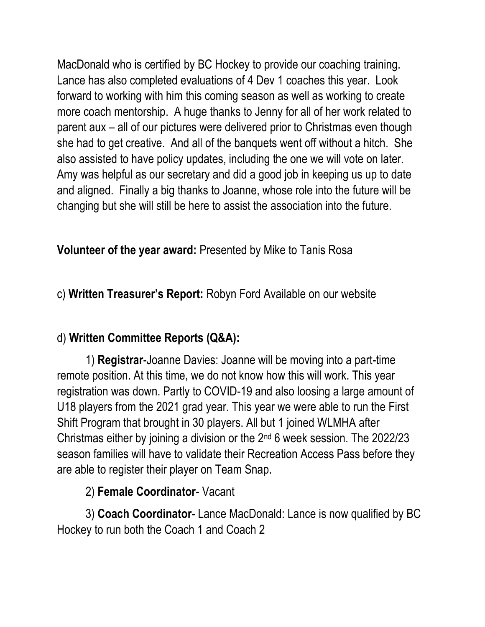MacDonald who is certified by BC Hockey to provide our coaching training. Lance has also completed evaluations of 4 Dev 1 coaches this year. Look forward to working with him this coming season as well as working to create more coach mentorship. A huge thanks to Jenny for all of her work related to parent aux – all of our pictures were delivered prior to Christmas even though she had to get creative. And all of the banquets went off without a hitch. She also assisted to have policy updates, including the one we will vote on later. Amy was helpful as our secretary and did a good job in keeping us up to date and aligned. Finally a big thanks to Joanne, whose role into the future will be changing but she will still be here to assist the association into the future.

# **Volunteer of the year award:** Presented by Mike to Tanis Rosa

# c) **Written Treasurer's Report:** Robyn Ford Available on our website

# d) **Written Committee Reports (Q&A):**

1) **Registrar**-Joanne Davies: Joanne will be moving into a part-time remote position. At this time, we do not know how this will work. This year registration was down. Partly to COVID-19 and also loosing a large amount of U18 players from the 2021 grad year. This year we were able to run the First Shift Program that brought in 30 players. All but 1 joined WLMHA after Christmas either by joining a division or the 2nd 6 week session. The 2022/23 season families will have to validate their Recreation Access Pass before they are able to register their player on Team Snap.

# 2) **Female Coordinator**- Vacant

3) **Coach Coordinator**- Lance MacDonald: Lance is now qualified by BC Hockey to run both the Coach 1 and Coach 2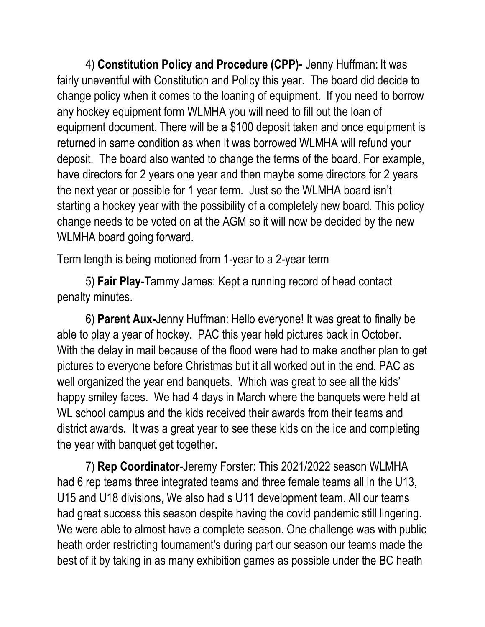4) **Constitution Policy and Procedure (CPP)-** Jenny Huffman: It was fairly uneventful with Constitution and Policy this year. The board did decide to change policy when it comes to the loaning of equipment. If you need to borrow any hockey equipment form WLMHA you will need to fill out the loan of equipment document. There will be a \$100 deposit taken and once equipment is returned in same condition as when it was borrowed WLMHA will refund your deposit. The board also wanted to change the terms of the board. For example, have directors for 2 years one year and then maybe some directors for 2 years the next year or possible for 1 year term. Just so the WLMHA board isn't starting a hockey year with the possibility of a completely new board. This policy change needs to be voted on at the AGM so it will now be decided by the new WLMHA board going forward.

Term length is being motioned from 1-year to a 2-year term

5) **Fair Play**-Tammy James: Kept a running record of head contact penalty minutes.

6) **Parent Aux-**Jenny Huffman: Hello everyone! It was great to finally be able to play a year of hockey. PAC this year held pictures back in October. With the delay in mail because of the flood were had to make another plan to get pictures to everyone before Christmas but it all worked out in the end. PAC as well organized the year end banquets. Which was great to see all the kids' happy smiley faces. We had 4 days in March where the banquets were held at WL school campus and the kids received their awards from their teams and district awards. It was a great year to see these kids on the ice and completing the year with banquet get together.

7) **Rep Coordinator**-Jeremy Forster: This 2021/2022 season WLMHA had 6 rep teams three integrated teams and three female teams all in the U13, U15 and U18 divisions, We also had s U11 development team. All our teams had great success this season despite having the covid pandemic still lingering. We were able to almost have a complete season. One challenge was with public heath order restricting tournament's during part our season our teams made the best of it by taking in as many exhibition games as possible under the BC heath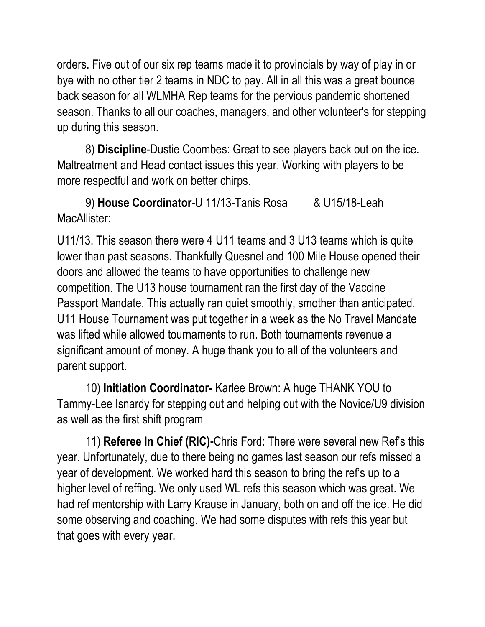orders. Five out of our six rep teams made it to provincials by way of play in or bye with no other tier 2 teams in NDC to pay. All in all this was a great bounce back season for all WLMHA Rep teams for the pervious pandemic shortened season. Thanks to all our coaches, managers, and other volunteer's for stepping up during this season.

8) **Discipline**-Dustie Coombes: Great to see players back out on the ice. Maltreatment and Head contact issues this year. Working with players to be more respectful and work on better chirps.

9) **House Coordinator**-U 11/13-Tanis Rosa & U15/18-Leah MacAllister:

U11/13. This season there were 4 U11 teams and 3 U13 teams which is quite lower than past seasons. Thankfully Quesnel and 100 Mile House opened their doors and allowed the teams to have opportunities to challenge new competition. The U13 house tournament ran the first day of the Vaccine Passport Mandate. This actually ran quiet smoothly, smother than anticipated. U11 House Tournament was put together in a week as the No Travel Mandate was lifted while allowed tournaments to run. Both tournaments revenue a significant amount of money. A huge thank you to all of the volunteers and parent support.

10) **Initiation Coordinator-** Karlee Brown: A huge THANK YOU to Tammy-Lee Isnardy for stepping out and helping out with the Novice/U9 division as well as the first shift program

11) **Referee In Chief (RIC)-**Chris Ford: There were several new Ref's this year. Unfortunately, due to there being no games last season our refs missed a year of development. We worked hard this season to bring the ref's up to a higher level of reffing. We only used WL refs this season which was great. We had ref mentorship with Larry Krause in January, both on and off the ice. He did some observing and coaching. We had some disputes with refs this year but that goes with every year.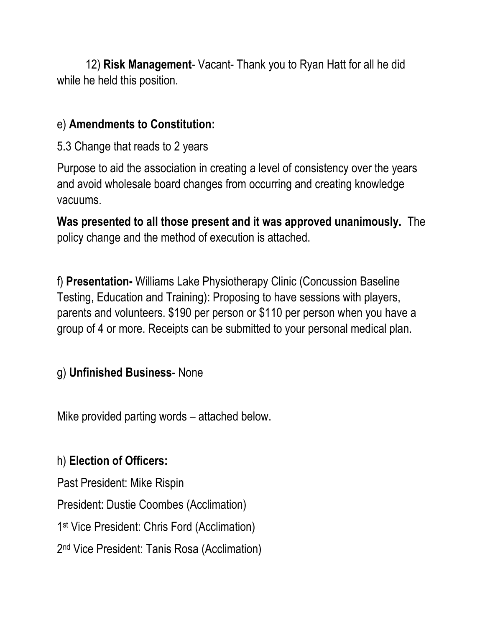12) **Risk Management**- Vacant- Thank you to Ryan Hatt for all he did while he held this position.

# e) **Amendments to Constitution:**

5.3 Change that reads to 2 years

Purpose to aid the association in creating a level of consistency over the years and avoid wholesale board changes from occurring and creating knowledge vacuums.

**Was presented to all those present and it was approved unanimously.** The policy change and the method of execution is attached.

f) **Presentation-** Williams Lake Physiotherapy Clinic (Concussion Baseline Testing, Education and Training): Proposing to have sessions with players, parents and volunteers. \$190 per person or \$110 per person when you have a group of 4 or more. Receipts can be submitted to your personal medical plan.

### g) **Unfinished Business**- None

Mike provided parting words – attached below.

# h) **Election of Officers:**

Past President: Mike Rispin

President: Dustie Coombes (Acclimation)

1 st Vice President: Chris Ford (Acclimation)

2 nd Vice President: Tanis Rosa (Acclimation)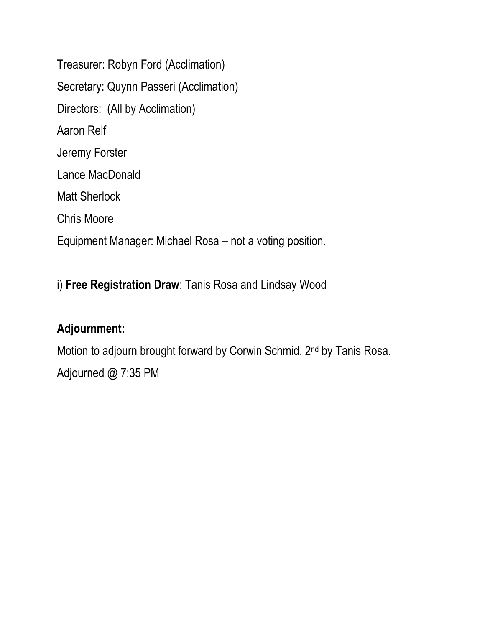Treasurer: Robyn Ford (Acclimation) Secretary: Quynn Passeri (Acclimation) Directors: (All by Acclimation) Aaron Relf Jeremy Forster Lance MacDonald Matt Sherlock Chris Moore Equipment Manager: Michael Rosa – not a voting position.

# i) **Free Registration Draw**: Tanis Rosa and Lindsay Wood

# **Adjournment:**

Motion to adjourn brought forward by Corwin Schmid. 2nd by Tanis Rosa. Adjourned @ 7:35 PM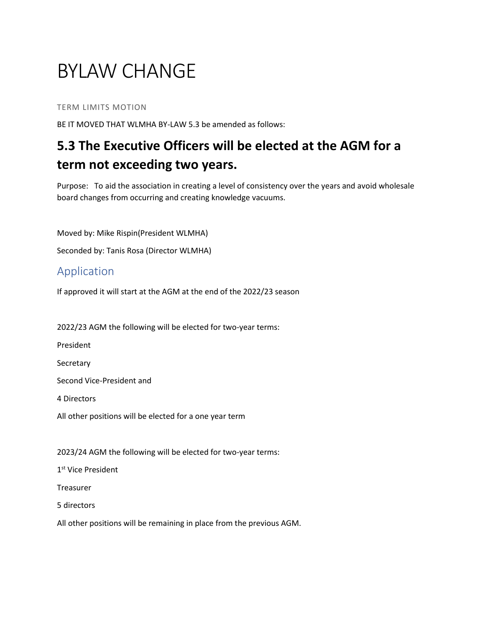# BYLAW CHANGE

#### TERM LIMITS MOTION

BE IT MOVED THAT WLMHA BY-LAW 5.3 be amended as follows:

# **5.3 The Executive Officers will be elected at the AGM for a term not exceeding two years.**

Purpose: To aid the association in creating a level of consistency over the years and avoid wholesale board changes from occurring and creating knowledge vacuums.

Moved by: Mike Rispin(President WLMHA)

Seconded by: Tanis Rosa (Director WLMHA)

#### Application

If approved it will start at the AGM at the end of the 2022/23 season

2022/23 AGM the following will be elected for two-year terms:

President

**Secretary** 

Second Vice-President and

4 Directors

All other positions will be elected for a one year term

2023/24 AGM the following will be elected for two-year terms:

1<sup>st</sup> Vice President

Treasurer

5 directors

All other positions will be remaining in place from the previous AGM.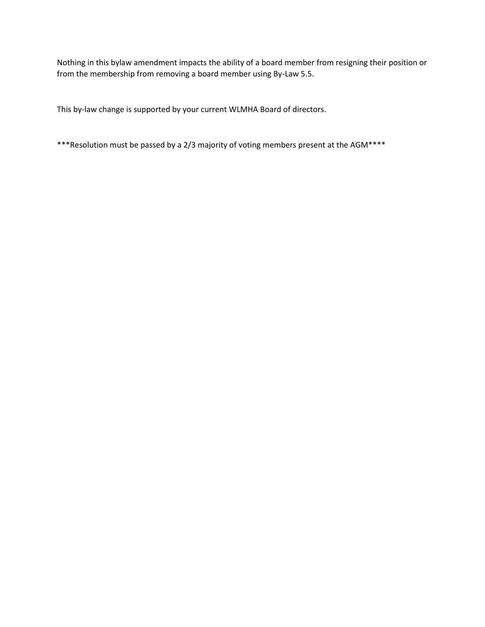Nothing in this bylaw amendment impacts the ability of a board member from resigning their position or from the membership from removing a board member using By-Law 5.5.

This by-law change is supported by your current WLMHA Board of directors.

\*\*\*Resolution must be passed by a 2/3 majority of voting members present at the AGM\*\*\*\*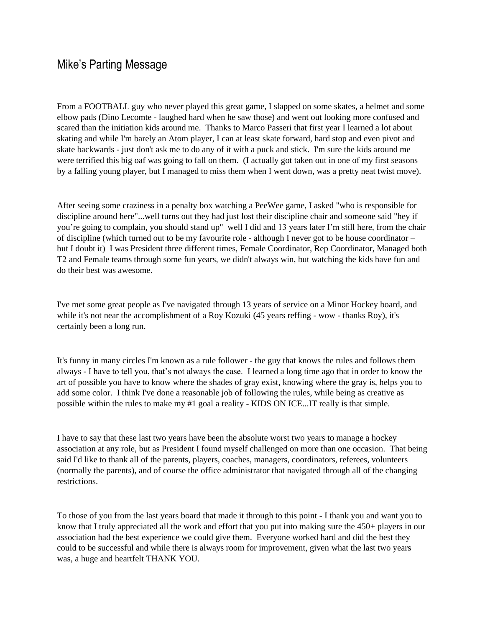### Mike's Parting Message

From a FOOTBALL guy who never played this great game, I slapped on some skates, a helmet and some elbow pads (Dino Lecomte - laughed hard when he saw those) and went out looking more confused and scared than the initiation kids around me. Thanks to Marco Passeri that first year I learned a lot about skating and while I'm barely an Atom player, I can at least skate forward, hard stop and even pivot and skate backwards - just don't ask me to do any of it with a puck and stick. I'm sure the kids around me were terrified this big oaf was going to fall on them. (I actually got taken out in one of my first seasons by a falling young player, but I managed to miss them when I went down, was a pretty neat twist move).

After seeing some craziness in a penalty box watching a PeeWee game, I asked "who is responsible for discipline around here"...well turns out they had just lost their discipline chair and someone said "hey if you're going to complain, you should stand up" well I did and 13 years later I'm still here, from the chair of discipline (which turned out to be my favourite role - although I never got to be house coordinator – but I doubt it) I was President three different times, Female Coordinator, Rep Coordinator, Managed both T2 and Female teams through some fun years, we didn't always win, but watching the kids have fun and do their best was awesome.

I've met some great people as I've navigated through 13 years of service on a Minor Hockey board, and while it's not near the accomplishment of a Roy Kozuki (45 years reffing - wow - thanks Roy), it's certainly been a long run.

It's funny in many circles I'm known as a rule follower - the guy that knows the rules and follows them always - I have to tell you, that's not always the case. I learned a long time ago that in order to know the art of possible you have to know where the shades of gray exist, knowing where the gray is, helps you to add some color. I think I've done a reasonable job of following the rules, while being as creative as possible within the rules to make my #1 goal a reality - KIDS ON ICE...IT really is that simple.

I have to say that these last two years have been the absolute worst two years to manage a hockey association at any role, but as President I found myself challenged on more than one occasion. That being said I'd like to thank all of the parents, players, coaches, managers, coordinators, referees, volunteers (normally the parents), and of course the office administrator that navigated through all of the changing restrictions.

To those of you from the last years board that made it through to this point - I thank you and want you to know that I truly appreciated all the work and effort that you put into making sure the 450+ players in our association had the best experience we could give them. Everyone worked hard and did the best they could to be successful and while there is always room for improvement, given what the last two years was, a huge and heartfelt THANK YOU.